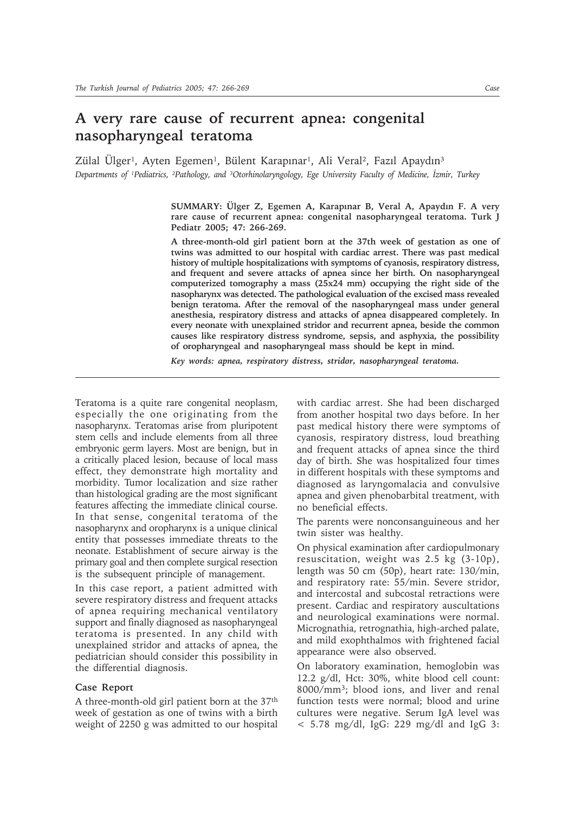## **A very rare cause of recurrent apnea: congenital nasopharyngeal teratoma**

Zülal Ülger<sup>1</sup>, Ayten Egemen<sup>1</sup>, Bülent Karapınar<sup>1</sup>, Ali Veral<sup>2</sup>, Fazıl Apaydın<sup>3</sup> *Departments of ¹Pediatrics, ²Pathology, and ³Otorhinolaryngology, Ege University Faculty of Medicine, İzmir, Turkey*

> **SUMMARY: Ülger Z, Egemen A, Karapınar B, Veral A, Apaydın F. A very rare cause of recurrent apnea: congenital nasopharyngeal teratoma. Turk J Pediatr 2005; 47: 266-269.**

> **A three-month-old girl patient born at the 37th week of gestation as one of twins was admitted to our hospital with cardiac arrest. There was past medical history of multiple hospitalizations with symptoms of cyanosis, respiratory distress, and frequent and severe attacks of apnea since her birth. On nasopharyngeal computerized tomography a mass (25x24 mm) occupying the right side of the nasopharynx was detected. The pathological evaluation of the excised mass revealed benign teratoma. After the removal of the nasopharyngeal mass under general anesthesia, respiratory distress and attacks of apnea disappeared completely. In every neonate with unexplained stridor and recurrent apnea, beside the common causes like respiratory distress syndrome, sepsis, and asphyxia, the possibility of oropharyngeal and nasopharyngeal mass should be kept in mind.**

*Key words: apnea, respiratory distress, stridor, nasopharyngeal teratoma.*

Teratoma is a quite rare congenital neoplasm, especially the one originating from the nasopharynx. Teratomas arise from pluripotent stem cells and include elements from all three embryonic germ layers. Most are benign, but in a critically placed lesion, because of local mass effect, they demonstrate high mortality and morbidity. Tumor localization and size rather than histological grading are the most significant features affecting the immediate clinical course. In that sense, congenital teratoma of the nasopharynx and oropharynx is a unique clinical entity that possesses immediate threats to the neonate. Establishment of secure airway is the primary goal and then complete surgical resection is the subsequent principle of management.

In this case report, a patient admitted with severe respiratory distress and frequent attacks of apnea requiring mechanical ventilatory support and finally diagnosed as nasopharyngeal teratoma is presented. In any child with unexplained stridor and attacks of apnea, the pediatrician should consider this possibility in the differential diagnosis.

## **Case Report**

A three-month-old girl patient born at the 37th week of gestation as one of twins with a birth weight of 2250 g was admitted to our hospital with cardiac arrest. She had been discharged from another hospital two days before. In her past medical history there were symptoms of cyanosis, respiratory distress, loud breathing and frequent attacks of apnea since the third day of birth. She was hospitalized four times in different hospitals with these symptoms and diagnosed as laryngomalacia and convulsive apnea and given phenobarbital treatment, with no beneficial effects.

The parents were nonconsanguineous and her twin sister was healthy.

On physical examination after cardiopulmonary resuscitation, weight was 2.5 kg (3-10p), length was 50 cm (50p), heart rate: 130/min, and respiratory rate: 55/min. Severe stridor, and intercostal and subcostal retractions were present. Cardiac and respiratory auscultations and neurological examinations were normal. Micrognathia, retrognathia, high-arched palate, and mild exophthalmos with frightened facial appearance were also observed.

On laboratory examination, hemoglobin was 12.2 g/dl, Hct: 30%, white blood cell count: 8000/mm3; blood ions, and liver and renal function tests were normal; blood and urine cultures were negative. Serum IgA level was  $<$  5.78 mg/dl, IgG: 229 mg/dl and IgG 3: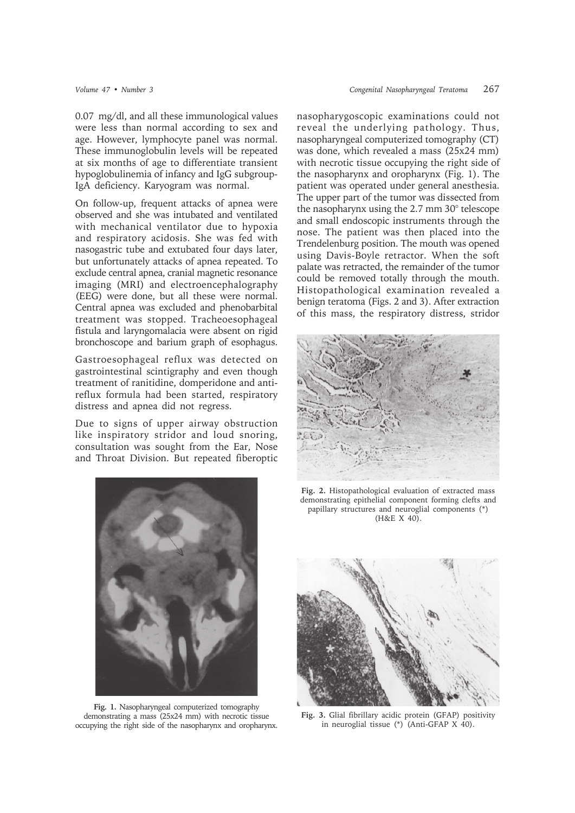0.07 mg/dl, and all these immunological values were less than normal according to sex and age. However, lymphocyte panel was normal. These immunoglobulin levels will be repeated at six months of age to differentiate transient hypoglobulinemia of infancy and IgG subgroup-IgA deficiency. Karyogram was normal.

On follow-up, frequent attacks of apnea were observed and she was intubated and ventilated with mechanical ventilator due to hypoxia and respiratory acidosis. She was fed with nasogastric tube and extubated four days later, but unfortunately attacks of apnea repeated. To exclude central apnea, cranial magnetic resonance imaging (MRI) and electroencephalography (EEG) were done, but all these were normal. Central apnea was excluded and phenobarbital treatment was stopped. Tracheoesophageal fistula and laryngomalacia were absent on rigid bronchoscope and barium graph of esophagus.

Gastroesophageal reflux was detected on gastrointestinal scintigraphy and even though treatment of ranitidine, domperidone and antireflux formula had been started, respiratory distress and apnea did not regress.

Due to signs of upper airway obstruction like inspiratory stridor and loud snoring, consultation was sought from the Ear, Nose and Throat Division. But repeated fiberoptic



**Fig. 1.** Nasopharyngeal computerized tomography demonstrating a mass (25x24 mm) with necrotic tissue occupying the right side of the nasopharynx and oropharynx.

nasopharygoscopic examinations could not reveal the underlying pathology. Thus, nasopharyngeal computerized tomography (CT) was done, which revealed a mass (25x24 mm) with necrotic tissue occupying the right side of the nasopharynx and oropharynx (Fig. 1). The patient was operated under general anesthesia. The upper part of the tumor was dissected from the nasopharynx using the 2.7 mm 30° telescope and small endoscopic instruments through the nose. The patient was then placed into the Trendelenburg position. The mouth was opened using Davis-Boyle retractor. When the soft palate was retracted, the remainder of the tumor could be removed totally through the mouth. Histopathological examination revealed a benign teratoma (Figs. 2 and 3). After extraction of this mass, the respiratory distress, stridor



**Fig. 2.** Histopathological evaluation of extracted mass demonstrating epithelial component forming clefts and papillary structures and neuroglial components (\*) (H&E X 40).



**Fig. 3.** Glial fibrillary acidic protein (GFAP) positivity in neuroglial tissue (\*) (Anti-GFAP X 40).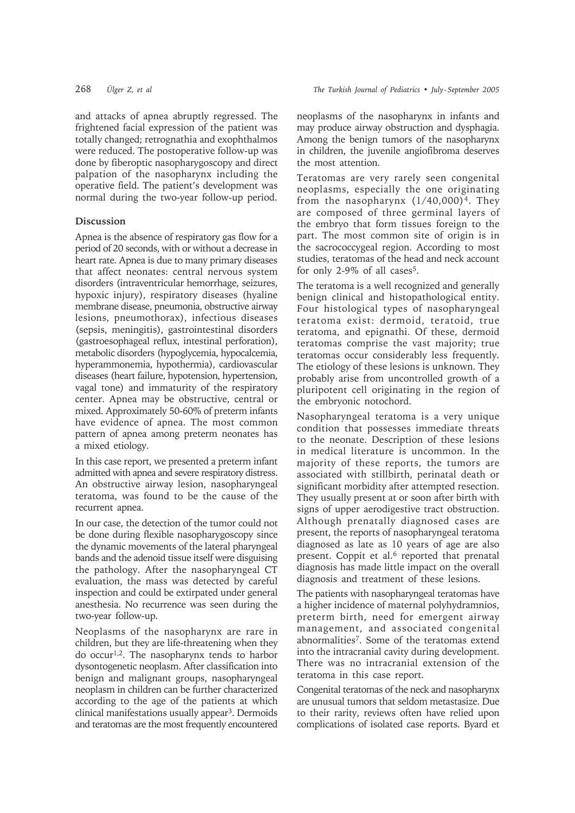and attacks of apnea abruptly regressed. The frightened facial expression of the patient was totally changed; retrognathia and exophthalmos were reduced. The postoperative follow-up was done by fiberoptic nasopharygoscopy and direct palpation of the nasopharynx including the operative field. The patient's development was normal during the two-year follow-up period.

## **Discussion**

Apnea is the absence of respiratory gas flow for a period of 20 seconds, with or without a decrease in heart rate. Apnea is due to many primary diseases that affect neonates: central nervous system disorders (intraventricular hemorrhage, seizures, hypoxic injury), respiratory diseases (hyaline membrane disease, pneumonia, obstructive airway lesions, pneumothorax), infectious diseases (sepsis, meningitis), gastrointestinal disorders (gastroesophageal reflux, intestinal perforation), metabolic disorders (hypoglycemia, hypocalcemia, hyperammonemia, hypothermia), cardiovascular diseases (heart failure, hypotension, hypertension, vagal tone) and immaturity of the respiratory center. Apnea may be obstructive, central or mixed. Approximately 50-60% of preterm infants have evidence of apnea. The most common pattern of apnea among preterm neonates has a mixed etiology.

In this case report, we presented a preterm infant admitted with apnea and severe respiratory distress. An obstructive airway lesion, nasopharyngeal teratoma, was found to be the cause of the recurrent apnea.

In our case, the detection of the tumor could not be done during flexible nasopharygoscopy since the dynamic movements of the lateral pharyngeal bands and the adenoid tissue itself were disguising the pathology. After the nasopharyngeal CT evaluation, the mass was detected by careful inspection and could be extirpated under general anesthesia. No recurrence was seen during the two-year follow-up.

Neoplasms of the nasopharynx are rare in children, but they are life-threatening when they do occur1,2. The nasopharynx tends to harbor dysontogenetic neoplasm. After classification into benign and malignant groups, nasopharyngeal neoplasm in children can be further characterized according to the age of the patients at which clinical manifestations usually appear3. Dermoids and teratomas are the most frequently encountered

neoplasms of the nasopharynx in infants and may produce airway obstruction and dysphagia. Among the benign tumors of the nasopharynx in children, the juvenile angiofibroma deserves the most attention.

Teratomas are very rarely seen congenital neoplasms, especially the one originating from the nasopharynx  $(1/40,000)^4$ . They are composed of three germinal layers of the embryo that form tissues foreign to the part. The most common site of origin is in the sacrococcygeal region. According to most studies, teratomas of the head and neck account for only 2-9% of all cases<sup>5</sup>.

The teratoma is a well recognized and generally benign clinical and histopathological entity. Four histological types of nasopharyngeal teratoma exist: dermoid, teratoid, true teratoma, and epignathi. Of these, dermoid teratomas comprise the vast majority; true teratomas occur considerably less frequently. The etiology of these lesions is unknown. They probably arise from uncontrolled growth of a pluripotent cell originating in the region of the embryonic notochord.

Nasopharyngeal teratoma is a very unique condition that possesses immediate threats to the neonate. Description of these lesions in medical literature is uncommon. In the majority of these reports, the tumors are associated with stillbirth, perinatal death or significant morbidity after attempted resection. They usually present at or soon after birth with signs of upper aerodigestive tract obstruction. Although prenatally diagnosed cases are present, the reports of nasopharyngeal teratoma diagnosed as late as 10 years of age are also present. Coppit et al.<sup>6</sup> reported that prenatal diagnosis has made little impact on the overall diagnosis and treatment of these lesions.

The patients with nasopharyngeal teratomas have a higher incidence of maternal polyhydramnios, preterm birth, need for emergent airway management, and associated congenital abnormalities7. Some of the teratomas extend into the intracranial cavity during development. There was no intracranial extension of the teratoma in this case report.

Congenital teratomas of the neck and nasopharynx are unusual tumors that seldom metastasize. Due to their rarity, reviews often have relied upon complications of isolated case reports. Byard et